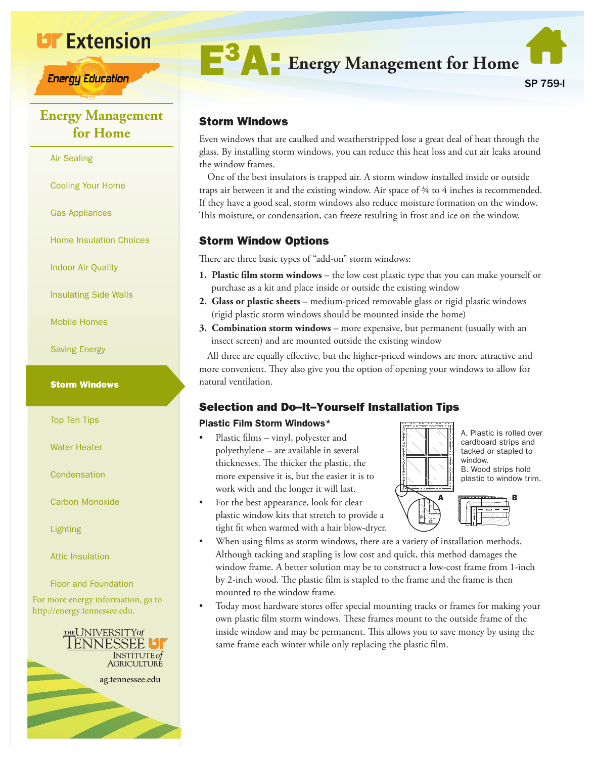

**Energy Education** 

# **Energy Management for Home**

#### Air Sealing

Cooling Your Home

Gas Appliances

Home Insulation Choices

Indoor Air Quality

Insulating Side Walls

Mobile Homes

Saving Energy

#### Storm Windows

Top Ten Tips

Water Heater

**Condensation** 

Carbon Monoxide

Lighting

Attic Insulation

Floor and Foundation

For more energy information, go to http://energy.tennessee.edu.





### Storm Windows

Even windows that are caulked and weatherstripped lose a great deal of heat through the glass. By installing storm windows, you can reduce this heat loss and cut air leaks around the window frames.

One of the best insulators is trapped air. A storm window installed inside or outside traps air between it and the existing window. Air space of ¾ to 4 inches is recommended. If they have a good seal, storm windows also reduce moisture formation on the window. This moisture, or condensation, can freeze resulting in frost and ice on the window.

### Storm Window Options

There are three basic types of "add-on" storm windows:

- **1. Plastic film storm windows** the low cost plastic type that you can make yourself or purchase as a kit and place inside or outside the existing window
- **2. Glass or plastic sheets** medium-priced removable glass or rigid plastic windows (rigid plastic storm windows should be mounted inside the home)
- **3. Combination storm windows** more expensive, but permanent (usually with an insect screen) and are mounted outside the existing window

All three are equally effective, but the higher-priced windows are more attractive and more convenient. They also give you the option of opening your windows to allow for natural ventilation.

# Selection and Do–It–Yourself Installation Tips

### Plastic F**i**lm Storm Windows\*

- Plastic films vinyl, polyester and polyethylene – are available in several thicknesses. The thicker the plastic, the more expensive it is, but the easier it is to work with and the longer it will last.
- For the best appearance, look for clear plastic window kits that stretch to provide a tight fit when warmed with a hair blow-dryer.



A. Plastic is rolled over cardboard strips and tacked or stapled to window. B. Wood strips hold plastic to window trim.

- $A \t B$
- When using films as storm windows, there are a variety of installation methods. Although tacking and stapling is low cost and quick, this method damages the window frame. A better solution may be to construct a low-cost frame from 1-inch by 2-inch wood. The plastic film is stapled to the frame and the frame is then mounted to the window frame.
- Today most hardware stores offer special mounting tracks or frames for making your own plastic film storm windows. These frames mount to the outside frame of the inside window and may be permanent. This allows you to save money by using the same frame each winter while only replacing the plastic film.